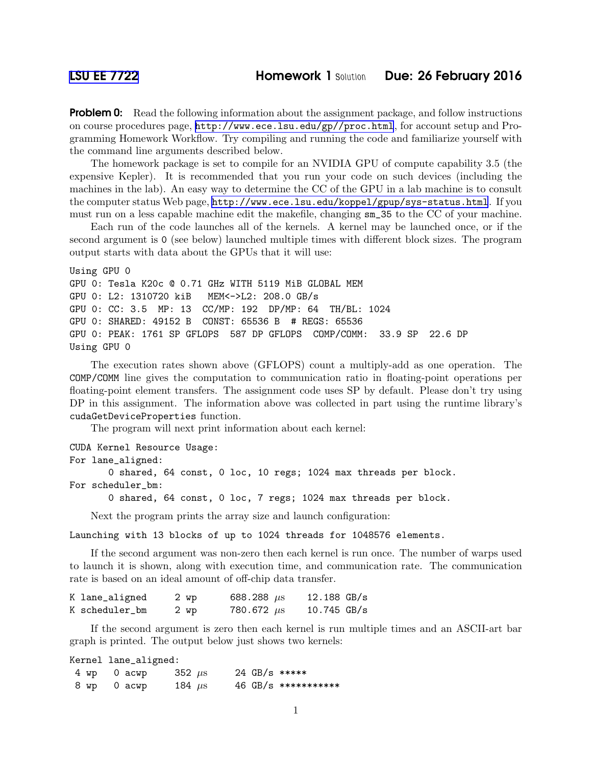**Problem 0:** Read the following information about the assignment package, and follow instructions on course procedures page, <http://www.ece.lsu.edu/gp//proc.html>, for account setup and Programming Homework Workflow. Try compiling and running the code and familiarize yourself with the command line arguments described below.

The homework package is set to compile for an NVIDIA GPU of compute capability 3.5 (the expensive Kepler). It is recommended that you run your code on such devices (including the machines in the lab). An easy way to determine the CC of the GPU in a lab machine is to consult the computer status Web page, <http://www.ece.lsu.edu/koppel/gpup/sys-status.html>. If you must run on a less capable machine edit the makefile, changing sm\_35 to the CC of your machine.

Each run of the code launches all of the kernels. A kernel may be launched once, or if the second argument is 0 (see below) launched multiple times with different block sizes. The program output starts with data about the GPUs that it will use:

```
Using GPU 0
GPU 0: Tesla K20c @ 0.71 GHz WITH 5119 MiB GLOBAL MEM
GPU 0: L2: 1310720 kiB MEM<->L2: 208.0 GB/s
GPU 0: CC: 3.5 MP: 13 CC/MP: 192 DP/MP: 64 TH/BL: 1024
GPU 0: SHARED: 49152 B CONST: 65536 B # REGS: 65536
GPU 0: PEAK: 1761 SP GFLOPS 587 DP GFLOPS COMP/COMM: 33.9 SP 22.6 DP
Using GPU 0
```
The execution rates shown above (GFLOPS) count a multiply-add as one operation. The COMP/COMM line gives the computation to communication ratio in floating-point operations per floating-point element transfers. The assignment code uses SP by default. Please don't try using DP in this assignment. The information above was collected in part using the runtime library's cudaGetDeviceProperties function.

The program will next print information about each kernel:

CUDA Kernel Resource Usage: For lane\_aligned: 0 shared, 64 const, 0 loc, 10 regs; 1024 max threads per block. For scheduler\_bm:

0 shared, 64 const, 0 loc, 7 regs; 1024 max threads per block.

Next the program prints the array size and launch configuration:

Launching with 13 blocks of up to 1024 threads for 1048576 elements.

If the second argument was non-zero then each kernel is run once. The number of warps used to launch it is shown, along with execution time, and communication rate. The communication rate is based on an ideal amount of off-chip data transfer.

| K lane_aligned | 2 wp | 688.288 $\mu$ s | $12.188$ GB/s |
|----------------|------|-----------------|---------------|
| K scheduler_bm | 2 wp | 780.672 $\mu$ s | $10.745$ GB/s |

If the second argument is zero then each kernel is run multiple times and an ASCII-art bar graph is printed. The output below just shows two kernels:

Kernel lane\_aligned:

| 4 wp 0 acwp | 352 $\mu$ s | 24 GB/s ***** |                        |
|-------------|-------------|---------------|------------------------|
| 8 wp 0 acwp | 184 $\mu$ s |               | $46$ GB/s ************ |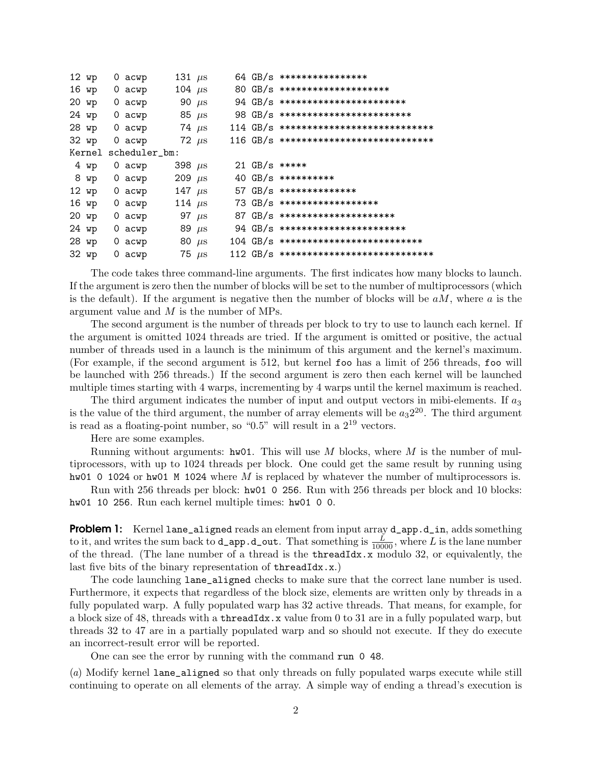| 12 wp  | 0 acwp   | 131 $\mu$ s   |            |  | 64 GB/s *****************                   |
|--------|----------|---------------|------------|--|---------------------------------------------|
| 16 wp  | 0 acwp   | 104 $\mu$ s   |            |  | 80 GB/s *********************               |
| 20 wp  | 0 acwp   |               | 90 $\mu$ s |  | $94$ GB/s *************************         |
| 24 wp  | 0 acwp   | 85 $\mu$ s    |            |  | 98 GB/s **************************          |
| 28 wp  | 0 acwp   | 74 $\mu$ s    |            |  | $114\,$ GB/s ****************************** |
| 32 wp  | $0$ acwp |               | 72 $\mu$ s |  | $116$ GB/s ******************************   |
| Kernel |          | scheduler_bm: |            |  |                                             |
| 4 wp   | 0 acwp   | 398 $\mu$ s   |            |  | 21 GB/s *****                               |
| 8 wp   | 0 acwp   | 209 $\mu$ s   |            |  | 40 GB/s ***********                         |
| 12 wp  | 0 acwp   | 147 $\mu$ s   |            |  | 57 $GB/s$ ***************                   |
| 16 wp  | 0 acwp   | 114 $\mu$ s   |            |  | $73 \text{ GB/s}$ *******************       |
| 20 wp  | 0 acwp   |               | 97 $\mu$ s |  | $87 \text{ GB/s}$ **********************    |
| 24 wp  | 0 acwp   | 89 $\mu$ s    |            |  | $94$ GB/s *************************         |
| 28 wp  | 0 acwp   |               | 80 $\mu$ s |  | $104\,$ GB/s ***************************    |
| 32 wp  | 0 acwp   |               | 75 $\mu$ s |  | $112\,$ GB/s ****************************** |

The code takes three command-line arguments. The first indicates how many blocks to launch. If the argument is zero then the number of blocks will be set to the number of multiprocessors (which is the default). If the argument is negative then the number of blocks will be  $aM$ , where a is the argument value and  $M$  is the number of MPs.

The second argument is the number of threads per block to try to use to launch each kernel. If the argument is omitted 1024 threads are tried. If the argument is omitted or positive, the actual number of threads used in a launch is the minimum of this argument and the kernel's maximum. (For example, if the second argument is 512, but kernel foo has a limit of 256 threads, foo will be launched with 256 threads.) If the second argument is zero then each kernel will be launched multiple times starting with 4 warps, incrementing by 4 warps until the kernel maximum is reached.

The third argument indicates the number of input and output vectors in mibi-elements. If  $a_3$ is the value of the third argument, the number of array elements will be  $a_3 2^{20}$ . The third argument is read as a floating-point number, so "0.5" will result in a  $2^{19}$  vectors.

Here are some examples.

Running without arguments:  $hwd1$ . This will use M blocks, where M is the number of multiprocessors, with up to 1024 threads per block. One could get the same result by running using hw01 0 1024 or hw01 M 1024 where  $M$  is replaced by whatever the number of multiprocessors is.

Run with 256 threads per block: hw01 0 256. Run with 256 threads per block and 10 blocks: hw01 10 256. Run each kernel multiple times: hw01 0 0.

**Problem 1:** Kernel lane\_aligned reads an element from input array **d\_app.d\_in**, adds something to it, and writes the sum back to **d\_app.d\_out**. That something is  $\frac{L}{10000}$ , where L is the lane number of the thread. (The lane number of a thread is the  $threadIdx.x$  modulo 32, or equivalently, the last five bits of the binary representation of threadIdx.x.)

The code launching lane\_aligned checks to make sure that the correct lane number is used. Furthermore, it expects that regardless of the block size, elements are written only by threads in a fully populated warp. A fully populated warp has 32 active threads. That means, for example, for a block size of 48, threads with a **thread Idx**. x value from 0 to 31 are in a fully populated warp, but threads 32 to 47 are in a partially populated warp and so should not execute. If they do execute an incorrect-result error will be reported.

One can see the error by running with the command run 0 48.

(a) Modify kernel lane\_aligned so that only threads on fully populated warps execute while still continuing to operate on all elements of the array. A simple way of ending a thread's execution is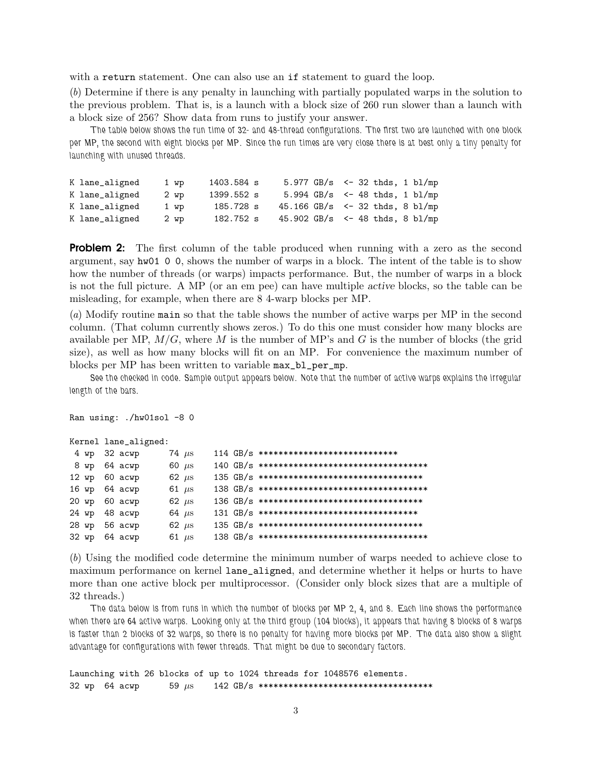with a return statement. One can also use an if statement to guard the loop.

(b) Determine if there is any penalty in launching with partially populated warps in the solution to the previous problem. That is, is a launch with a block size of 260 run slower than a launch with a block size of 256? Show data from runs to justify your answer.

The table below shows the run time of 32- and 48-thread configurations. The first two are launched with one block per MP, the second with eight blocks per MP. Since the run times are very close there is at best only a tiny penalty for launching with unused threads.

| K lane_aligned | 1 wp   | 1403.584 s | 5.977 $GB/s$ <- 32 thds, 1 bl/mp          |                                   |  |  |  |
|----------------|--------|------------|-------------------------------------------|-----------------------------------|--|--|--|
| K lane_aligned | $2$ wp | 1399.552 s |                                           | 5.994 GB/s $\le$ 48 thds, 1 bl/mp |  |  |  |
| K lane_aligned | 1 wp   | 185.728 s  | 45.166 GB/s $\leftarrow$ 32 thds, 8 bl/mp |                                   |  |  |  |
| K lane_aligned | 2 wp   | 182.752 s  | 45.902 GB/s $\leftarrow$ 48 thds, 8 bl/mp |                                   |  |  |  |

**Problem 2:** The first column of the table produced when running with a zero as the second argument, say hw01 0 0, shows the number of warps in a block. The intent of the table is to show how the number of threads (or warps) impacts performance. But, the number of warps in a block is not the full picture. A MP (or an em pee) can have multiple active blocks, so the table can be misleading, for example, when there are 8 4-warp blocks per MP.

(a) Modify routine main so that the table shows the number of active warps per MP in the second column. (That column currently shows zeros.) To do this one must consider how many blocks are available per MP,  $M/G$ , where M is the number of MP's and G is the number of blocks (the grid size), as well as how many blocks will fit on an MP. For convenience the maximum number of blocks per MP has been written to variable max\_bl\_per\_mp.

See the checked in code. Sample output appears below. Note that the number of active warps explains the irregular length of the bars.

Ran using: ./hw01sol -8 0

```
Kernel lane_aligned:
```

|  | 4 wp 32 acwp  | 74 $\mu$ s |  | $114\text{ GB/s}$ ****************************** |
|--|---------------|------------|--|--------------------------------------------------|
|  | 8 wp 64 acwp  | 60 $\mu$ s |  |                                                  |
|  | 12 wp 60 acwp | 62 $\mu$ s |  | $135$ GB/s **********************************    |
|  | 16 wp 64 acwp | 61 $\mu$ s |  |                                                  |
|  | 20 wp 60 acwp | 62 $\mu$ s |  | $136$ GB/s ***********************************   |
|  | 24 wp 48 acwp | 64 $\mu$ s |  | $131$ GB/s **********************************    |
|  | 28 wp 56 acwp | 62 $\mu$ s |  | $135$ GB/s ***********************************   |
|  | 32 wp 64 acwp | 61 $\mu$ s |  |                                                  |

(b) Using the modified code determine the minimum number of warps needed to achieve close to maximum performance on kernel lane\_aligned, and determine whether it helps or hurts to have more than one active block per multiprocessor. (Consider only block sizes that are a multiple of 32 threads.)

The data below is from runs in which the number of blocks per MP 2, 4, and 8. Each line shows the performance when there are 64 active warps. Looking only at the third group (104 blocks), it appears that having 8 blocks of 8 warps is faster than 2 blocks of 32 warps, so there is no penalty for having more blocks per MP. The data also show a slight advantage for configurations with fewer threads. That might be due to secondary factors.

Launching with 26 blocks of up to 1024 threads for 1048576 elements. 32 wp 64 acwp 59 µs 142 GB/s \*\*\*\*\*\*\*\*\*\*\*\*\*\*\*\*\*\*\*\*\*\*\*\*\*\*\*\*\*\*\*\*\*\*\*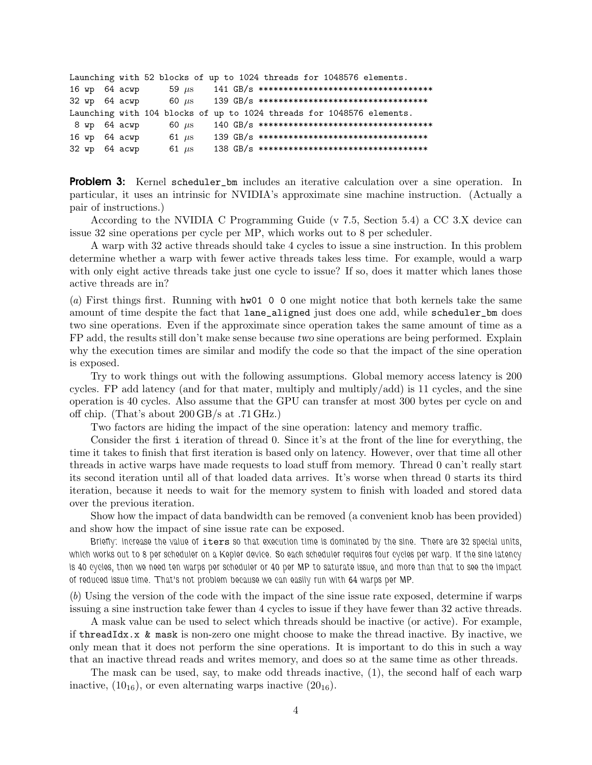|  | Launching with 52 blocks of up to 1024 threads for 1048576 elements.  |            |  |  |  |  |  |  |  |  |
|--|-----------------------------------------------------------------------|------------|--|--|--|--|--|--|--|--|
|  | 16 wp 64 acwp                                                         | 59 $\mu$ s |  |  |  |  |  |  |  |  |
|  | 32 wp 64 acwp                                                         | 60 $\mu$ s |  |  |  |  |  |  |  |  |
|  | Launching with 104 blocks of up to 1024 threads for 1048576 elements. |            |  |  |  |  |  |  |  |  |
|  | 8 wp 64 acwp                                                          | 60 $\mu$ s |  |  |  |  |  |  |  |  |
|  | 16 wp 64 acwp                                                         | 61 $\mu$ s |  |  |  |  |  |  |  |  |
|  | 32 wp 64 acwp                                                         | 61 $\mu$ s |  |  |  |  |  |  |  |  |

**Problem 3:** Kernel scheduler bm includes an iterative calculation over a sine operation. In particular, it uses an intrinsic for NVIDIA's approximate sine machine instruction. (Actually a pair of instructions.)

According to the NVIDIA C Programming Guide (v 7.5, Section 5.4) a CC 3.X device can issue 32 sine operations per cycle per MP, which works out to 8 per scheduler.

A warp with 32 active threads should take 4 cycles to issue a sine instruction. In this problem determine whether a warp with fewer active threads takes less time. For example, would a warp with only eight active threads take just one cycle to issue? If so, does it matter which lanes those active threads are in?

(a) First things first. Running with  $h\text{w01}$  0 0 one might notice that both kernels take the same amount of time despite the fact that lane\_aligned just does one add, while scheduler\_bm does two sine operations. Even if the approximate since operation takes the same amount of time as a FP add, the results still don't make sense because two sine operations are being performed. Explain why the execution times are similar and modify the code so that the impact of the sine operation is exposed.

Try to work things out with the following assumptions. Global memory access latency is 200 cycles. FP add latency (and for that mater, multiply and multiply/add) is 11 cycles, and the sine operation is 40 cycles. Also assume that the GPU can transfer at most 300 bytes per cycle on and off chip. (That's about 200 GB/s at .71 GHz.)

Two factors are hiding the impact of the sine operation: latency and memory traffic.

Consider the first i iteration of thread 0. Since it's at the front of the line for everything, the time it takes to finish that first iteration is based only on latency. However, over that time all other threads in active warps have made requests to load stuff from memory. Thread 0 can't really start its second iteration until all of that loaded data arrives. It's worse when thread 0 starts its third iteration, because it needs to wait for the memory system to finish with loaded and stored data over the previous iteration.

Show how the impact of data bandwidth can be removed (a convenient knob has been provided) and show how the impact of sine issue rate can be exposed.

Briefly: increase the value of iters so that execution time is dominated by the sine. There are 32 special units, which works out to 8 per scheduler on a Kepler device. So each scheduler requires four cycles per warp. If the sine latency is 40 cycles, then we need ten warps per scheduler or 40 per MP to saturate issue, and more than that to see the impact of reduced issue time. That's not problem because we can easily run with 64 warps per MP.

 $(b)$  Using the version of the code with the impact of the sine issue rate exposed, determine if warps issuing a sine instruction take fewer than 4 cycles to issue if they have fewer than 32 active threads.

A mask value can be used to select which threads should be inactive (or active). For example, if thread Idx.  $x \& mask$  is non-zero one might choose to make the thread inactive. By inactive, we only mean that it does not perform the sine operations. It is important to do this in such a way that an inactive thread reads and writes memory, and does so at the same time as other threads.

The mask can be used, say, to make odd threads inactive, (1), the second half of each warp inactive,  $(10_{16})$ , or even alternating warps inactive  $(20_{16})$ .